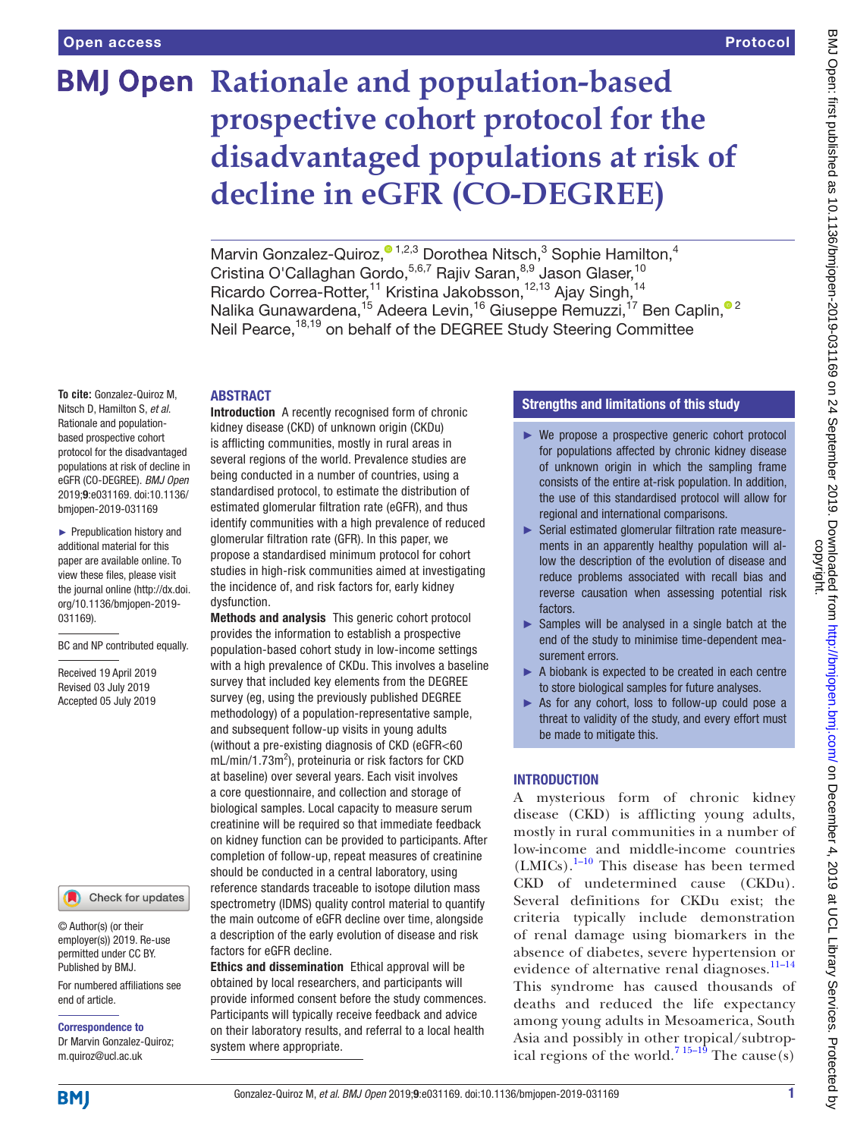# **BMJ Open Rationale and population-based prospective cohort protocol for the disadvantaged populations at risk of decline in eGFR (CO-DEGREE)**

Marvin Gonzalez-Quiroz[,](http://orcid.org/0000-0002-0093-6357)<sup>® 1,2,3</sup> Dorothea Nitsch,<sup>3</sup> Sophie Hamilton,<sup>4</sup> Cristina O'Callaghan Gordo, 5,6,7 Rajiv Saran, 8,9 Jason Glaser, 10 Ricardo Correa-Rotter,<sup>11</sup> Kristina Jakobsson,<sup>12,13</sup> Ajay Singh,<sup>14</sup> Nalika Gunawardena[,](http://orcid.org/0000-0001-9544-164X)<sup>15</sup> Adeera Levin,<sup>16</sup> Giuseppe Remuzzi,<sup>17</sup> Ben Caplin,<sup>® 2</sup> Neil Pearce,<sup>18,19</sup> on behalf of the DEGREE Study Steering Committee

# **ABSTRACT**

**To cite:** Gonzalez-Quiroz M, Nitsch D, Hamilton S, *et al*. Rationale and populationbased prospective cohort protocol for the disadvantaged populations at risk of decline in eGFR (CO-DEGREE). *BMJ Open* 2019;9:e031169. doi:10.1136/ bmjopen-2019-031169

► Prepublication history and additional material for this paper are available online. To view these files, please visit the journal online (http://dx.doi. org/10.1136/bmjopen-2019- 031169).

BC and NP contributed equally.

Received 19 April 2019 Revised 03 July 2019 Accepted 05 July 2019

#### Check for updates

© Author(s) (or their employer(s)) 2019. Re-use permitted under CC BY. Published by BMJ.

For numbered affiliations see end of article.

Correspondence to Dr Marvin Gonzalez-Quiroz; m.quiroz@ucl.ac.uk

Introduction A recently recognised form of chronic kidney disease (CKD) of unknown origin (CKDu) is afflicting communities, mostly in rural areas in several regions of the world. Prevalence studies are being conducted in a number of countries, using a standardised protocol, to estimate the distribution of estimated glomerular filtration rate (eGFR), and thus identify communities with a high prevalence of reduced glomerular filtration rate (GFR). In this paper, we propose a standardised minimum protocol for cohort studies in high-risk communities aimed at investigating the incidence of, and risk factors for, early kidney dysfunction.

Methods and analysis This generic cohort protocol provides the information to establish a prospective population-based cohort study in low-income settings with a high prevalence of CKDu. This involves a baseline survey that included key elements from the DEGREE survey (eg, using the previously published DEGREE methodology) of a population-representative sample, and subsequent follow-up visits in young adults (without a pre-existing diagnosis of CKD (eGFR<60  $mL/min/1.73m<sup>2</sup>$ ), proteinuria or risk factors for CKD at baseline) over several years. Each visit involves a core questionnaire, and collection and storage of biological samples. Local capacity to measure serum creatinine will be required so that immediate feedback on kidney function can be provided to participants. After completion of follow-up, repeat measures of creatinine should be conducted in a central laboratory, using reference standards traceable to isotope dilution mass spectrometry (IDMS) quality control material to quantify the main outcome of eGFR decline over time, alongside a description of the early evolution of disease and risk factors for eGFR decline.

Ethics and dissemination Ethical approval will be obtained by local researchers, and participants will provide informed consent before the study commences. Participants will typically receive feedback and advice on their laboratory results, and referral to a local health system where appropriate.

# Strengths and limitations of this study

- ► We propose a prospective generic cohort protocol for populations affected by chronic kidney disease of unknown origin in which the sampling frame consists of the entire at-risk population. In addition, the use of this standardised protocol will allow for regional and international comparisons.
- ► Serial estimated glomerular filtration rate measurements in an apparently healthy population will allow the description of the evolution of disease and reduce problems associated with recall bias and reverse causation when assessing potential risk factors.
- ► Samples will be analysed in a single batch at the end of the study to minimise time-dependent measurement errors.
- ► A biobank is expected to be created in each centre to store biological samples for future analyses.
- ► As for any cohort, loss to follow-up could pose a threat to validity of the study, and every effort must be made to mitigate this.

# **INTRODUCTION**

A mysterious form of chronic kidney disease (CKD) is afflicting young adults, mostly in rural communities in a number of low-income and middle-income countries  $(LMICs).<sup>1-10</sup>$  This disease has been termed CKD of undetermined cause (CKDu). Several definitions for CKDu exist; the criteria typically include demonstration of renal damage using biomarkers in the absence of diabetes, severe hypertension or evidence of alternative renal diagnoses. $11-14$ This syndrome has caused thousands of deaths and reduced the life expectancy among young adults in Mesoamerica, South Asia and possibly in other tropical/subtropical regions of the world.<sup>7</sup> <sup>15–19</sup> The cause(s)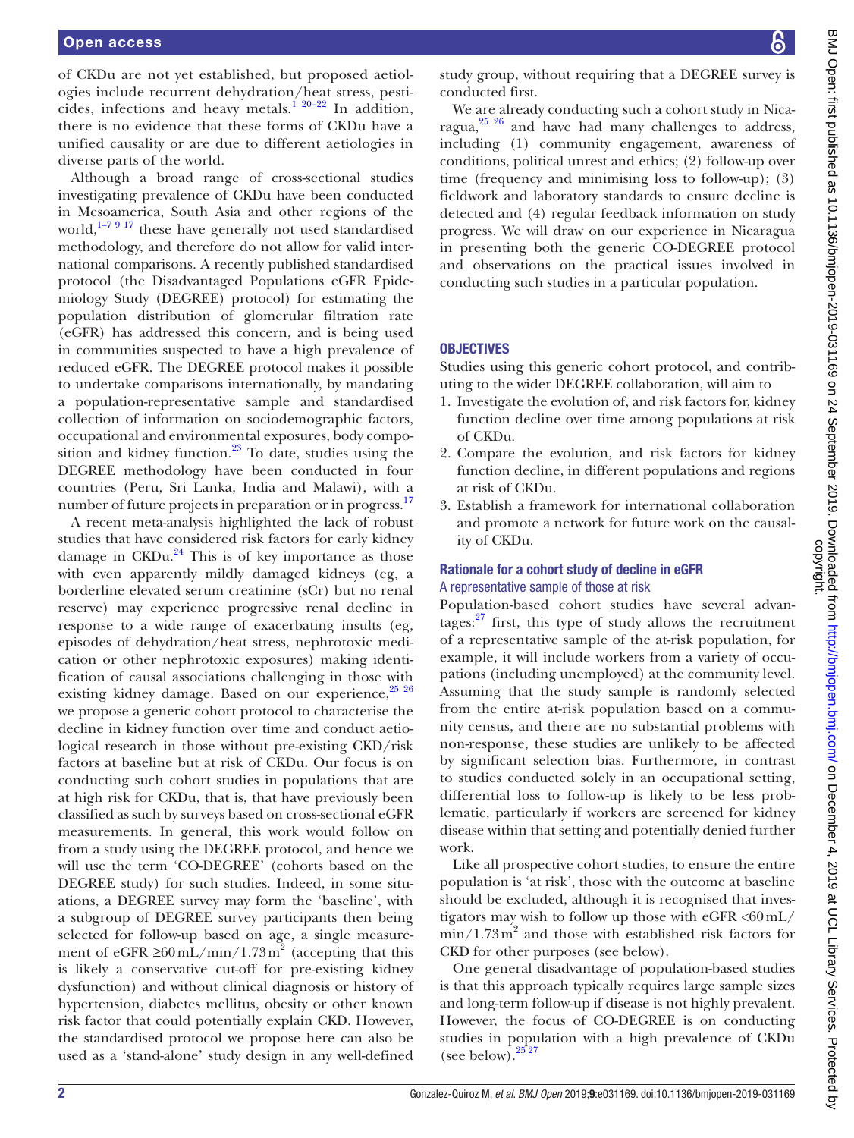of CKDu are not yet established, but proposed aetiologies include recurrent dehydration/heat stress, pesticides, infections and heavy metals.<sup>1 20–22</sup> In addition, there is no evidence that these forms of CKDu have a unified causality or are due to different aetiologies in diverse parts of the world.

Although a broad range of cross-sectional studies investigating prevalence of CKDu have been conducted in Mesoamerica, South Asia and other regions of the world, $1-7917$  these have generally not used standardised methodology, and therefore do not allow for valid international comparisons. A recently published standardised protocol (the Disadvantaged Populations eGFR Epidemiology Study (DEGREE) protocol) for estimating the population distribution of glomerular filtration rate (eGFR) has addressed this concern, and is being used in communities suspected to have a high prevalence of reduced eGFR. The DEGREE protocol makes it possible to undertake comparisons internationally, by mandating a population-representative sample and standardised collection of information on sociodemographic factors, occupational and environmental exposures, body composition and kidney function. $23$  To date, studies using the DEGREE methodology have been conducted in four countries (Peru, Sri Lanka, India and Malawi), with a number of future projects in preparation or in progress.<sup>17</sup>

A recent meta-analysis highlighted the lack of robust studies that have considered risk factors for early kidney damage in  $CKDu.<sup>24</sup>$  $CKDu.<sup>24</sup>$  $CKDu.<sup>24</sup>$  This is of key importance as those with even apparently mildly damaged kidneys (eg, a borderline elevated serum creatinine (sCr) but no renal reserve) may experience progressive renal decline in response to a wide range of exacerbating insults (eg, episodes of dehydration/heat stress, nephrotoxic medication or other nephrotoxic exposures) making identification of causal associations challenging in those with existing kidney damage. Based on our experience, $25\frac{25}{6}$ we propose a generic cohort protocol to characterise the decline in kidney function over time and conduct aetiological research in those without pre-existing CKD/risk factors at baseline but at risk of CKDu. Our focus is on conducting such cohort studies in populations that are at high risk for CKDu, that is, that have previously been classified as such by surveys based on cross-sectional eGFR measurements. In general, this work would follow on from a study using the DEGREE protocol, and hence we will use the term 'CO-DEGREE' (cohorts based on the DEGREE study) for such studies. Indeed, in some situations, a DEGREE survey may form the 'baseline', with a subgroup of DEGREE survey participants then being selected for follow-up based on age, a single measurement of eGFR  $\geq 60 \text{ mL/min} / 1.73 \text{ m}^2$  (accepting that this is likely a conservative cut-off for pre-existing kidney dysfunction) and without clinical diagnosis or history of hypertension, diabetes mellitus, obesity or other known risk factor that could potentially explain CKD. However, the standardised protocol we propose here can also be used as a 'stand-alone' study design in any well-defined

study group, without requiring that a DEGREE survey is conducted first.

We are already conducting such a cohort study in Nicaragua, $25\frac{26}{10}$  and have had many challenges to address, including (1) community engagement, awareness of conditions, political unrest and ethics; (2) follow-up over time (frequency and minimising loss to follow-up); (3) fieldwork and laboratory standards to ensure decline is detected and (4) regular feedback information on study progress. We will draw on our experience in Nicaragua in presenting both the generic CO-DEGREE protocol and observations on the practical issues involved in conducting such studies in a particular population.

### **OBJECTIVES**

Studies using this generic cohort protocol, and contributing to the wider DEGREE collaboration, will aim to

- 1. Investigate the evolution of, and risk factors for, kidney function decline over time among populations at risk of CKDu.
- 2. Compare the evolution, and risk factors for kidney function decline, in different populations and regions at risk of CKDu.
- 3. Establish a framework for international collaboration and promote a network for future work on the causality of CKDu.

#### Rationale for a cohort study of decline in eGFR A representative sample of those at risk

Population-based cohort studies have several advantages: $27$  first, this type of study allows the recruitment of a representative sample of the at-risk population, for example, it will include workers from a variety of occupations (including unemployed) at the community level. Assuming that the study sample is randomly selected from the entire at-risk population based on a community census, and there are no substantial problems with non-response, these studies are unlikely to be affected by significant selection bias. Furthermore, in contrast to studies conducted solely in an occupational setting, differential loss to follow-up is likely to be less problematic, particularly if workers are screened for kidney disease within that setting and potentially denied further work.

Like all prospective cohort studies, to ensure the entire population is 'at risk', those with the outcome at baseline should be excluded, although it is recognised that investigators may wish to follow up those with  $e$ GFR <60 mL/  $\min/1.73 \text{ m}^2$  and those with established risk factors for CKD for other purposes (see below).

One general disadvantage of population-based studies is that this approach typically requires large sample sizes and long-term follow-up if disease is not highly prevalent. However, the focus of CO-DEGREE is on conducting studies in population with a high prevalence of CKDu (see below). $2527$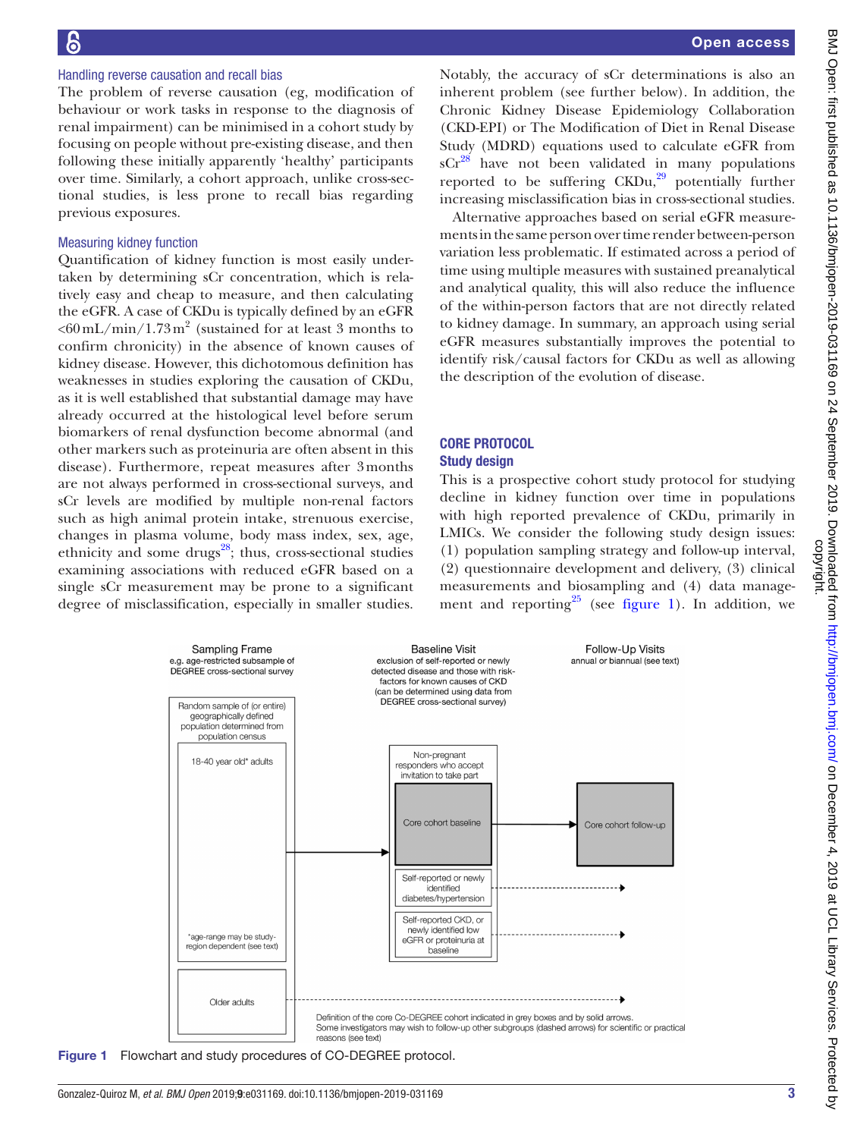#### Handling reverse causation and recall bias

The problem of reverse causation (eg, modification of behaviour or work tasks in response to the diagnosis of renal impairment) can be minimised in a cohort study by focusing on people without pre-existing disease, and then following these initially apparently 'healthy' participants over time. Similarly, a cohort approach, unlike cross-sectional studies, is less prone to recall bias regarding previous exposures.

#### Measuring kidney function

Quantification of kidney function is most easily undertaken by determining sCr concentration, which is relatively easy and cheap to measure, and then calculating the eGFR. A case of CKDu is typically defined by an eGFR  $<60$  mL/min/1.73 m<sup>2</sup> (sustained for at least 3 months to confirm chronicity) in the absence of known causes of kidney disease. However, this dichotomous definition has weaknesses in studies exploring the causation of CKDu, as it is well established that substantial damage may have already occurred at the histological level before serum biomarkers of renal dysfunction become abnormal (and other markers such as proteinuria are often absent in this disease). Furthermore, repeat measures after 3months are not always performed in cross-sectional surveys, and sCr levels are modified by multiple non-renal factors such as high animal protein intake, strenuous exercise, changes in plasma volume, body mass index, sex, age, ethnicity and some drugs $28$ ; thus, cross-sectional studies examining associations with reduced eGFR based on a single sCr measurement may be prone to a significant degree of misclassification, especially in smaller studies.

Notably, the accuracy of sCr determinations is also an inherent problem (see further below). In addition, the Chronic Kidney Disease Epidemiology Collaboration (CKD-EPI) or The Modification of Diet in Renal Disease Study (MDRD) equations used to calculate eGFR from  $sCr<sup>28</sup>$  have not been validated in many populations reported to be suffering CKDu,<sup>29</sup> potentially further increasing misclassification bias in cross-sectional studies.

Alternative approaches based on serial eGFR measurements in the same person over time render between-person variation less problematic. If estimated across a period of time using multiple measures with sustained preanalytical and analytical quality, this will also reduce the influence of the within-person factors that are not directly related to kidney damage. In summary, an approach using serial eGFR measures substantially improves the potential to identify risk/causal factors for CKDu as well as allowing the description of the evolution of disease.

# Core protocol Study design

This is a prospective cohort study protocol for studying decline in kidney function over time in populations with high reported prevalence of CKDu, primarily in LMICs. We consider the following study design issues: (1) population sampling strategy and follow-up interval, (2) questionnaire development and delivery, (3) clinical measurements and biosampling and (4) data management and reporting<sup>25</sup> (see [figure](#page-2-0) 1). In addition, we



<span id="page-2-0"></span>Figure 1 Flowchart and study procedures of CO-DEGREE protocol.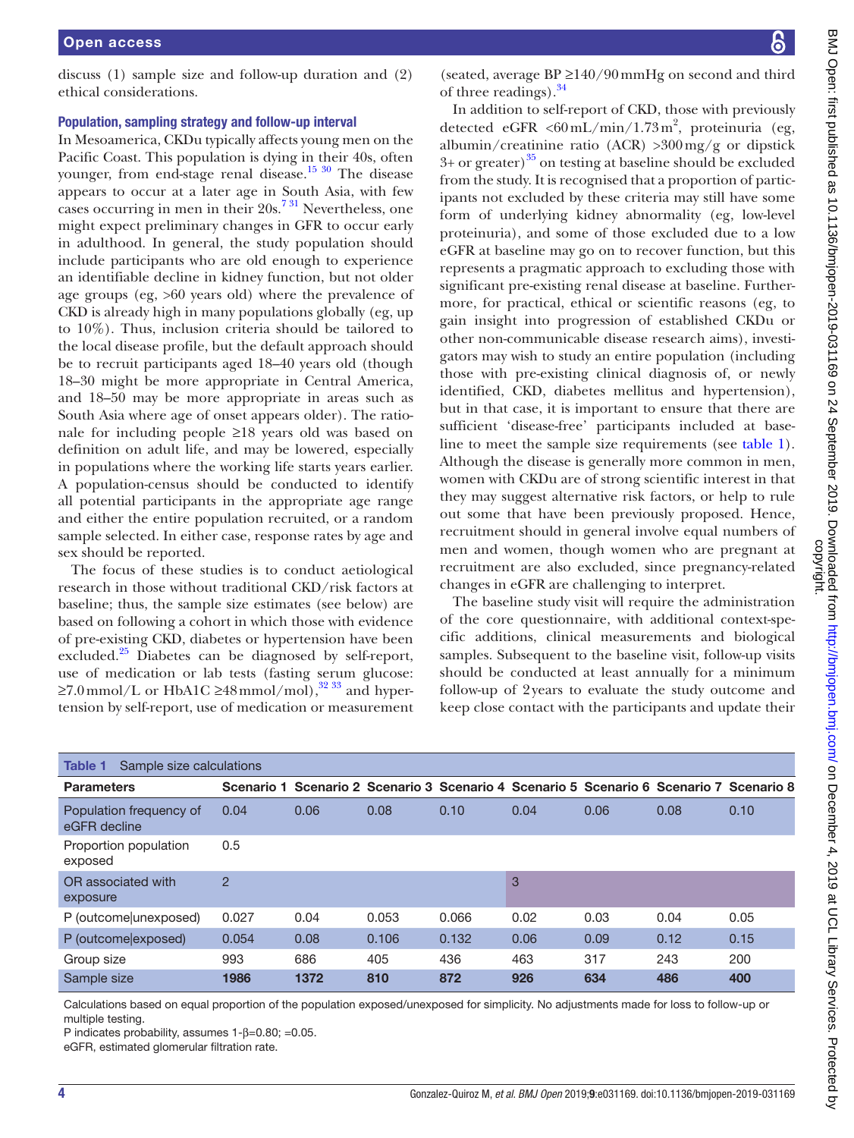discuss (1) sample size and follow-up duration and (2) ethical considerations.

#### Population, sampling strategy and follow-up interval

In Mesoamerica, CKDu typically affects young men on the Pacific Coast. This population is dying in their 40s, often younger, from end-stage renal disease.<sup>[15 30](#page-8-9)</sup> The disease appears to occur at a later age in South Asia, with few cases occurring in men in their  $20s^{731}$  Nevertheless, one might expect preliminary changes in GFR to occur early in adulthood. In general, the study population should include participants who are old enough to experience an identifiable decline in kidney function, but not older age groups (eg, >60 years old) where the prevalence of CKD is already high in many populations globally (eg, up to 10%). Thus, inclusion criteria should be tailored to the local disease profile, but the default approach should be to recruit participants aged 18–40 years old (though 18–30 might be more appropriate in Central America, and 18–50 may be more appropriate in areas such as South Asia where age of onset appears older). The rationale for including people ≥18 years old was based on definition on adult life, and may be lowered, especially in populations where the working life starts years earlier. A population-census should be conducted to identify all potential participants in the appropriate age range and either the entire population recruited, or a random sample selected. In either case, response rates by age and sex should be reported.

The focus of these studies is to conduct aetiological research in those without traditional CKD/risk factors at baseline; thus, the sample size estimates (see below) are based on following a cohort in which those with evidence of pre-existing CKD, diabetes or hypertension have been excluded.<sup>25</sup> Diabetes can be diagnosed by self-report, use of medication or lab tests (fasting serum glucose: ≥7.0 mmol/L or HbA1C ≥48 mmol/mol),<sup>32 33</sup> and hypertension by self-report, use of medication or measurement

BMJ Open: first published as 10.1136/bmjopen-2019-031169 on 24 September 2019. Downloaded from http://bmjopen.bmj.com/ on December 4, 2019 at UCL Library Services. Protected by<br>copyright. BMJ Open: first published as 10.1136/bmjopen-2019-031169 on 24 September 2019. Downloaded from <http://bmjopen.bmj.com/> on December 4, 2019 at UCL Library Services. Protected by

(seated, average  $BP \ge 140/90$  mmHg on second and third of three readings). $34$ 

In addition to self-report of CKD, those with previously detected eGFR <60mL/min/1.73m<sup>2</sup>, proteinuria (eg, albumin/creatinine ratio (ACR) >300mg/g or dipstick  $3+$  or greater)<sup>[35](#page-8-12)</sup> on testing at baseline should be excluded from the study. It is recognised that a proportion of participants not excluded by these criteria may still have some form of underlying kidney abnormality (eg, low-level proteinuria), and some of those excluded due to a low eGFR at baseline may go on to recover function, but this represents a pragmatic approach to excluding those with significant pre-existing renal disease at baseline. Furthermore, for practical, ethical or scientific reasons (eg, to gain insight into progression of established CKDu or other non-communicable disease research aims), investigators may wish to study an entire population (including those with pre-existing clinical diagnosis of, or newly identified, CKD, diabetes mellitus and hypertension), but in that case, it is important to ensure that there are sufficient 'disease-free' participants included at baseline to meet the sample size requirements (see [table](#page-3-0) 1). Although the disease is generally more common in men, women with CKDu are of strong scientific interest in that they may suggest alternative risk factors, or help to rule out some that have been previously proposed. Hence, recruitment should in general involve equal numbers of men and women, though women who are pregnant at recruitment are also excluded, since pregnancy-related changes in eGFR are challenging to interpret.

The baseline study visit will require the administration of the core questionnaire, with additional context-specific additions, clinical measurements and biological samples. Subsequent to the baseline visit, follow-up visits should be conducted at least annually for a minimum follow-up of 2years to evaluate the study outcome and keep close contact with the participants and update their

<span id="page-3-0"></span>

| Sample size calculations<br>Table 1     |                |      |       |       |                                                                                         |      |      |      |  |  |  |  |  |
|-----------------------------------------|----------------|------|-------|-------|-----------------------------------------------------------------------------------------|------|------|------|--|--|--|--|--|
| <b>Parameters</b>                       |                |      |       |       | Scenario 1 Scenario 2 Scenario 3 Scenario 4 Scenario 5 Scenario 6 Scenario 7 Scenario 8 |      |      |      |  |  |  |  |  |
| Population frequency of<br>eGFR decline | 0.04           | 0.06 | 0.08  | 0.10  | 0.04                                                                                    | 0.06 | 0.08 | 0.10 |  |  |  |  |  |
| Proportion population<br>exposed        | 0.5            |      |       |       |                                                                                         |      |      |      |  |  |  |  |  |
| OR associated with<br>exposure          | $\overline{2}$ |      |       |       | 3                                                                                       |      |      |      |  |  |  |  |  |
| P (outcome unexposed)                   | 0.027          | 0.04 | 0.053 | 0.066 | 0.02                                                                                    | 0.03 | 0.04 | 0.05 |  |  |  |  |  |
| P (outcome exposed)                     | 0.054          | 0.08 | 0.106 | 0.132 | 0.06                                                                                    | 0.09 | 0.12 | 0.15 |  |  |  |  |  |
| Group size                              | 993            | 686  | 405   | 436   | 463                                                                                     | 317  | 243  | 200  |  |  |  |  |  |
| Sample size                             | 1986           | 1372 | 810   | 872   | 926                                                                                     | 634  | 486  | 400  |  |  |  |  |  |

Calculations based on equal proportion of the population exposed/unexposed for simplicity. No adjustments made for loss to follow-up or multiple testing.

P indicates probability, assumes 1-β=0.80; =0.05.

eGFR, estimated glomerular filtration rate.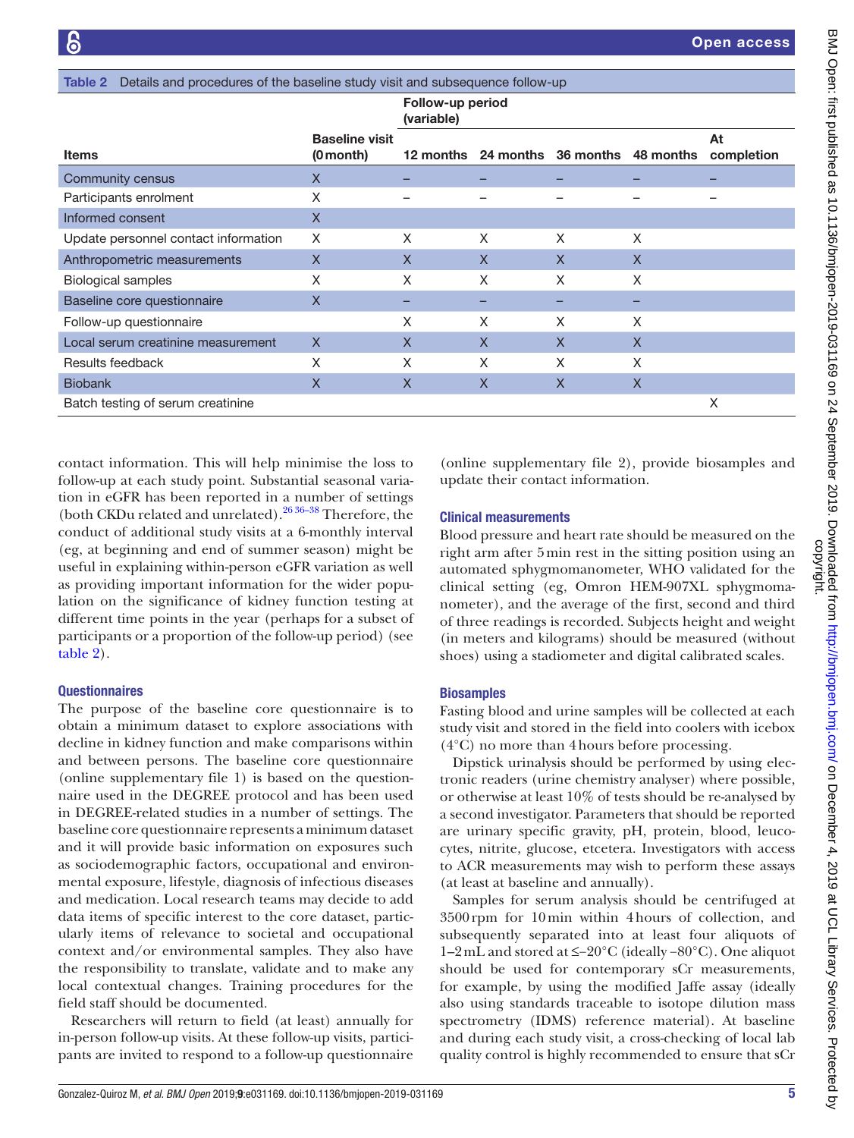completion

At

<span id="page-4-0"></span>

|                                      |                                    | Follow-up period<br>(variable) |              |                     |              |        |  |
|--------------------------------------|------------------------------------|--------------------------------|--------------|---------------------|--------------|--------|--|
| <b>Items</b>                         | <b>Baseline visit</b><br>(0 month) | 12 months                      |              | 24 months 36 months | 48 months    | Α<br>C |  |
| Community census                     | X.                                 |                                |              |                     |              |        |  |
| Participants enrolment               | X                                  |                                |              |                     |              |        |  |
| Informed consent                     | X                                  |                                |              |                     |              |        |  |
| Update personnel contact information | X                                  | X                              | X            | X                   | X            |        |  |
| Anthropometric measurements          | X                                  | X                              | $\mathsf{X}$ | $\mathsf{X}$        | $\mathsf{X}$ |        |  |
| Biological samples                   | X                                  | X                              | X            | X                   | X            |        |  |
| Baseline core questionnaire          | X                                  |                                |              |                     |              |        |  |
| Follow-up questionnaire              |                                    | X                              | X            | X                   | X            |        |  |
| Local serum creatinine measurement   | $\mathsf{X}$                       | $\mathsf{X}$                   | $\mathsf{X}$ | X                   | $\mathsf{X}$ |        |  |
| Results feedback                     | X                                  | X                              | X            | X                   | X            |        |  |
| <b>Biobank</b>                       | X                                  | $\mathsf{X}$                   | $\mathsf{X}$ | X                   | X            |        |  |
| Batch testing of serum creatinine    |                                    |                                |              |                     |              | Х      |  |

contact information. This will help minimise the loss to follow-up at each study point. Substantial seasonal variation in eGFR has been reported in a number of settings (both CKDu related and unrelated).<sup>26 36-38</sup> Therefore, the conduct of additional study visits at a 6-monthly interval (eg, at beginning and end of summer season) might be useful in explaining within-person eGFR variation as well as providing important information for the wider population on the significance of kidney function testing at different time points in the year (perhaps for a subset of participants or a proportion of the follow-up period) (see [table](#page-4-0) 2).

# **Questionnaires**

The purpose of the baseline core questionnaire is to obtain a minimum dataset to explore associations with decline in kidney function and make comparisons within and between persons. The baseline core questionnaire ([online supplementary file 1](https://dx.doi.org/10.1136/bmjopen-2019-031169)) is based on the questionnaire used in the DEGREE protocol and has been used in DEGREE-related studies in a number of settings. The baseline core questionnaire represents a minimum dataset and it will provide basic information on exposures such as sociodemographic factors, occupational and environmental exposure, lifestyle, diagnosis of infectious diseases and medication. Local research teams may decide to add data items of specific interest to the core dataset, particularly items of relevance to societal and occupational context and/or environmental samples. They also have the responsibility to translate, validate and to make any local contextual changes. Training procedures for the field staff should be documented.

Researchers will return to field (at least) annually for in-person follow-up visits. At these follow-up visits, participants are invited to respond to a follow-up questionnaire

[\(online supplementary file 2\)](https://dx.doi.org/10.1136/bmjopen-2019-031169), provide biosamples and update their contact information.

# Clinical measurements

Blood pressure and heart rate should be measured on the right arm after 5min rest in the sitting position using an automated sphygmomanometer, WHO validated for the clinical setting (eg, Omron HEM-907XL sphygmomanometer), and the average of the first, second and third of three readings is recorded. Subjects height and weight (in meters and kilograms) should be measured (without shoes) using a stadiometer and digital calibrated scales.

# **Biosamples**

Fasting blood and urine samples will be collected at each study visit and stored in the field into coolers with icebox (4°C) no more than 4hours before processing.

Dipstick urinalysis should be performed by using electronic readers (urine chemistry analyser) where possible, or otherwise at least 10% of tests should be re-analysed by a second investigator. Parameters that should be reported are urinary specific gravity, pH, protein, blood, leucocytes, nitrite, glucose, etcetera. Investigators with access to ACR measurements may wish to perform these assays (at least at baseline and annually).

Samples for serum analysis should be centrifuged at 3500rpm for 10min within 4hours of collection, and subsequently separated into at least four aliquots of 1–2mL and stored at ≤−20°C (ideally −80°C). One aliquot should be used for contemporary sCr measurements, for example, by using the modified Jaffe assay (ideally also using standards traceable to isotope dilution mass spectrometry (IDMS) reference material). At baseline and during each study visit, a cross-checking of local lab quality control is highly recommended to ensure that sCr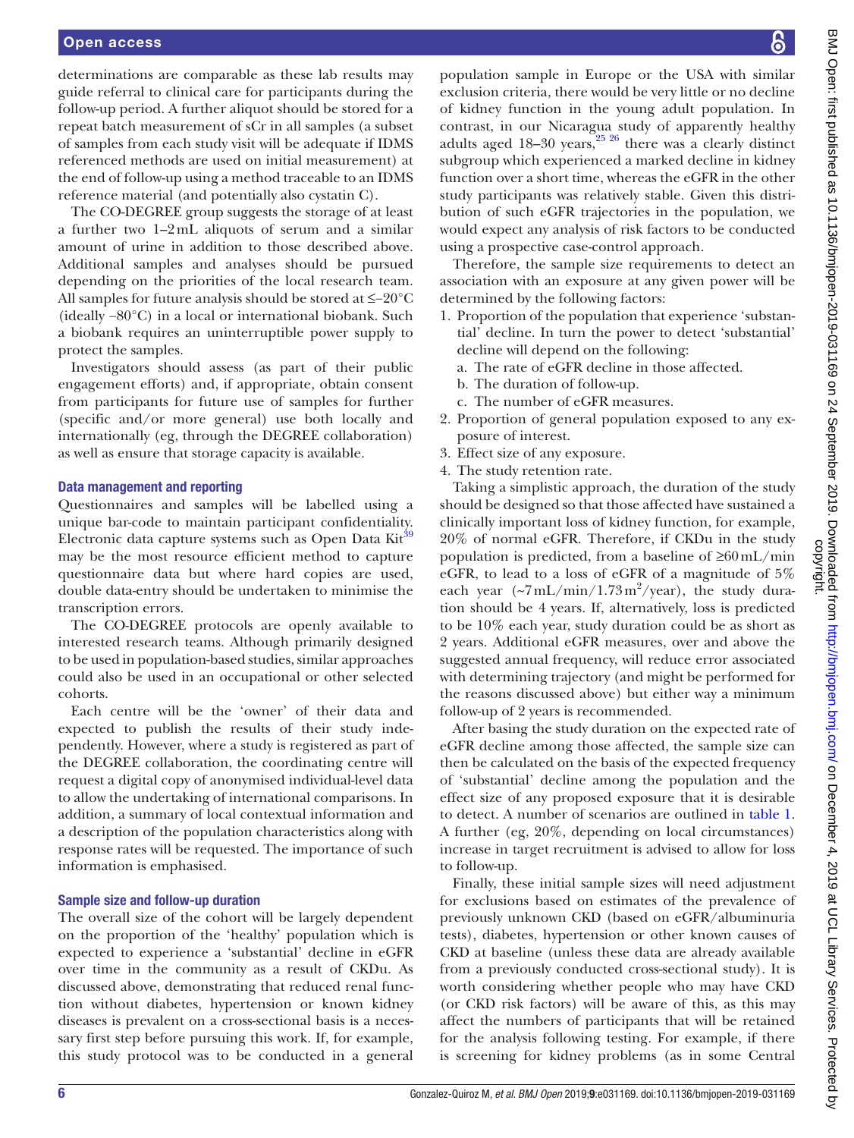#### Open access

determinations are comparable as these lab results may guide referral to clinical care for participants during the follow-up period. A further aliquot should be stored for a repeat batch measurement of sCr in all samples (a subset of samples from each study visit will be adequate if IDMS referenced methods are used on initial measurement) at the end of follow-up using a method traceable to an IDMS reference material (and potentially also cystatin C).

The CO-DEGREE group suggests the storage of at least a further two 1–2mL aliquots of serum and a similar amount of urine in addition to those described above. Additional samples and analyses should be pursued depending on the priorities of the local research team. All samples for future analysis should be stored at ≤−20°C (ideally −80°C) in a local or international biobank. Such a biobank requires an uninterruptible power supply to protect the samples.

Investigators should assess (as part of their public engagement efforts) and, if appropriate, obtain consent from participants for future use of samples for further (specific and/or more general) use both locally and internationally (eg, through the DEGREE collaboration) as well as ensure that storage capacity is available.

#### Data management and reporting

Questionnaires and samples will be labelled using a unique bar-code to maintain participant confidentiality. Electronic data capture systems such as Open Data Kit<sup>39</sup> may be the most resource efficient method to capture questionnaire data but where hard copies are used, double data-entry should be undertaken to minimise the transcription errors.

The CO-DEGREE protocols are openly available to interested research teams. Although primarily designed to be used in population-based studies, similar approaches could also be used in an occupational or other selected cohorts.

Each centre will be the 'owner' of their data and expected to publish the results of their study independently. However, where a study is registered as part of the DEGREE collaboration, the coordinating centre will request a digital copy of anonymised individual-level data to allow the undertaking of international comparisons. In addition, a summary of local contextual information and a description of the population characteristics along with response rates will be requested. The importance of such information is emphasised.

#### Sample size and follow-up duration

The overall size of the cohort will be largely dependent on the proportion of the 'healthy' population which is expected to experience a 'substantial' decline in eGFR over time in the community as a result of CKDu. As discussed above, demonstrating that reduced renal function without diabetes, hypertension or known kidney diseases is prevalent on a cross-sectional basis is a necessary first step before pursuing this work. If, for example, this study protocol was to be conducted in a general

population sample in Europe or the USA with similar exclusion criteria, there would be very little or no decline of kidney function in the young adult population. In contrast, in our Nicaragua study of apparently healthy adults aged  $18-30$  years,<sup>25, 26</sup> there was a clearly distinct subgroup which experienced a marked decline in kidney function over a short time, whereas the eGFR in the other study participants was relatively stable. Given this distribution of such eGFR trajectories in the population, we would expect any analysis of risk factors to be conducted using a prospective case-control approach.

Therefore, the sample size requirements to detect an association with an exposure at any given power will be determined by the following factors:

- 1. Proportion of the population that experience 'substantial' decline. In turn the power to detect 'substantial' decline will depend on the following:
	- a. The rate of eGFR decline in those affected.
	- b. The duration of follow-up.
- c. The number of eGFR measures.
- 2. Proportion of general population exposed to any exposure of interest.
- 3. Effect size of any exposure.
- 4. The study retention rate.

Taking a simplistic approach, the duration of the study should be designed so that those affected have sustained a clinically important loss of kidney function, for example, 20% of normal eGFR. Therefore, if CKDu in the study population is predicted, from a baseline of  $\geq 60$  mL/min eGFR, to lead to a loss of eGFR of a magnitude of 5% each year  $({\sim}7\,\text{mL/min}/1.73\,\text{m}^2/\text{year})$ , the study duration should be 4 years. If, alternatively, loss is predicted to be 10% each year, study duration could be as short as 2 years. Additional eGFR measures, over and above the suggested annual frequency, will reduce error associated with determining trajectory (and might be performed for the reasons discussed above) but either way a minimum follow-up of 2 years is recommended.

After basing the study duration on the expected rate of eGFR decline among those affected, the sample size can then be calculated on the basis of the expected frequency of 'substantial' decline among the population and the effect size of any proposed exposure that it is desirable to detect. A number of scenarios are outlined in [table](#page-3-0) 1. A further (eg, 20%, depending on local circumstances) increase in target recruitment is advised to allow for loss to follow-up.

Finally, these initial sample sizes will need adjustment for exclusions based on estimates of the prevalence of previously unknown CKD (based on eGFR/albuminuria tests), diabetes, hypertension or other known causes of CKD at baseline (unless these data are already available from a previously conducted cross-sectional study). It is worth considering whether people who may have CKD (or CKD risk factors) will be aware of this, as this may affect the numbers of participants that will be retained for the analysis following testing. For example, if there is screening for kidney problems (as in some Central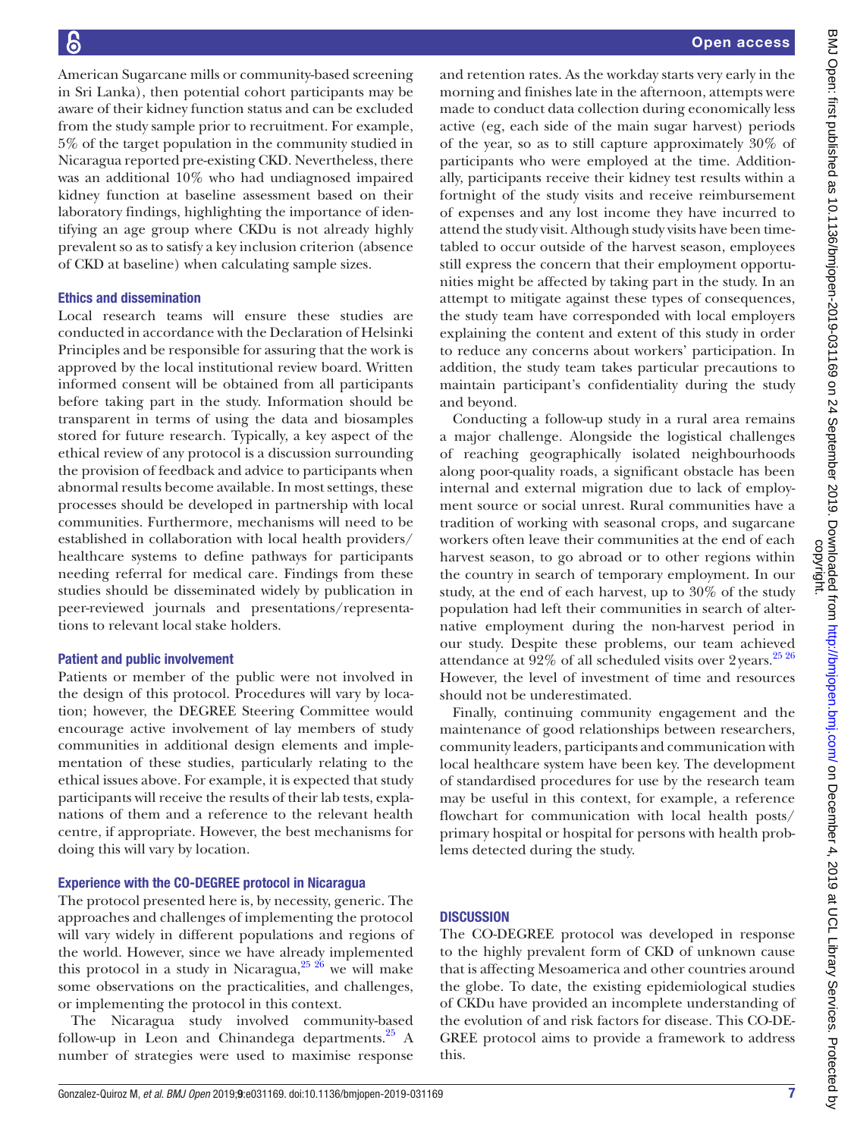American Sugarcane mills or community-based screening in Sri Lanka), then potential cohort participants may be aware of their kidney function status and can be excluded from the study sample prior to recruitment. For example, 5% of the target population in the community studied in Nicaragua reported pre-existing CKD. Nevertheless, there was an additional 10% who had undiagnosed impaired kidney function at baseline assessment based on their laboratory findings, highlighting the importance of identifying an age group where CKDu is not already highly prevalent so as to satisfy a key inclusion criterion (absence of CKD at baseline) when calculating sample sizes.

# Ethics and dissemination

Local research teams will ensure these studies are conducted in accordance with the Declaration of Helsinki Principles and be responsible for assuring that the work is approved by the local institutional review board. Written informed consent will be obtained from all participants before taking part in the study. Information should be transparent in terms of using the data and biosamples stored for future research. Typically, a key aspect of the ethical review of any protocol is a discussion surrounding the provision of feedback and advice to participants when abnormal results become available. In most settings, these processes should be developed in partnership with local communities. Furthermore, mechanisms will need to be established in collaboration with local health providers/ healthcare systems to define pathways for participants needing referral for medical care. Findings from these studies should be disseminated widely by publication in peer-reviewed journals and presentations/representations to relevant local stake holders.

### Patient and public involvement

Patients or member of the public were not involved in the design of this protocol. Procedures will vary by location; however, the DEGREE Steering Committee would encourage active involvement of lay members of study communities in additional design elements and implementation of these studies, particularly relating to the ethical issues above. For example, it is expected that study participants will receive the results of their lab tests, explanations of them and a reference to the relevant health centre, if appropriate. However, the best mechanisms for doing this will vary by location.

# Experience with the CO-DEGREE protocol in Nicaragua

The protocol presented here is, by necessity, generic. The approaches and challenges of implementing the protocol will vary widely in different populations and regions of the world. However, since we have already implemented this protocol in a study in Nicaragua,  $25\frac{26}{10}$  we will make some observations on the practicalities, and challenges, or implementing the protocol in this context.

The Nicaragua study involved community-based follow-up in Leon and Chinandega departments. $^{25}$  A number of strategies were used to maximise response

and retention rates. As the workday starts very early in the morning and finishes late in the afternoon, attempts were made to conduct data collection during economically less active (eg, each side of the main sugar harvest) periods of the year, so as to still capture approximately 30% of participants who were employed at the time. Additionally, participants receive their kidney test results within a fortnight of the study visits and receive reimbursement of expenses and any lost income they have incurred to attend the study visit. Although study visits have been timetabled to occur outside of the harvest season, employees still express the concern that their employment opportunities might be affected by taking part in the study. In an attempt to mitigate against these types of consequences, the study team have corresponded with local employers explaining the content and extent of this study in order to reduce any concerns about workers' participation. In addition, the study team takes particular precautions to maintain participant's confidentiality during the study and beyond.

Conducting a follow-up study in a rural area remains a major challenge. Alongside the logistical challenges of reaching geographically isolated neighbourhoods along poor-quality roads, a significant obstacle has been internal and external migration due to lack of employment source or social unrest. Rural communities have a tradition of working with seasonal crops, and sugarcane workers often leave their communities at the end of each harvest season, to go abroad or to other regions within the country in search of temporary employment. In our study, at the end of each harvest, up to 30% of the study population had left their communities in search of alternative employment during the non-harvest period in our study. Despite these problems, our team achieved attendance at  $92\%$  of all scheduled visits over 2years.<sup>[25 26](#page-8-5)</sup> However, the level of investment of time and resources should not be underestimated.

Finally, continuing community engagement and the maintenance of good relationships between researchers, community leaders, participants and communication with local healthcare system have been key. The development of standardised procedures for use by the research team may be useful in this context, for example, a reference flowchart for communication with local health posts/ primary hospital or hospital for persons with health problems detected during the study.

# **DISCUSSION**

The CO-DEGREE protocol was developed in response to the highly prevalent form of CKD of unknown cause that is affecting Mesoamerica and other countries around the globe. To date, the existing epidemiological studies of CKDu have provided an incomplete understanding of the evolution of and risk factors for disease. This CO-DE-GREE protocol aims to provide a framework to address this.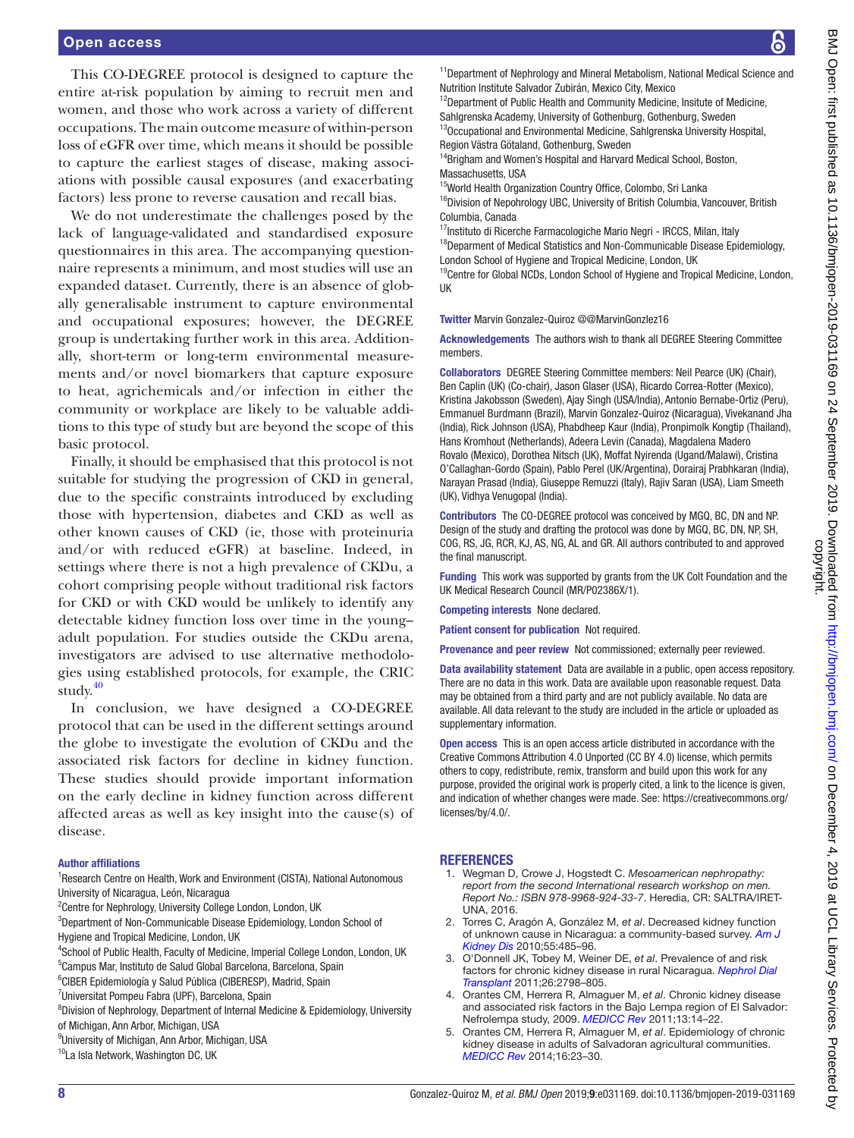# Open access

This CO-DEGREE protocol is designed to capture the entire at-risk population by aiming to recruit men and women, and those who work across a variety of different occupations. The main outcome measure of within-person loss of eGFR over time, which means it should be possible to capture the earliest stages of disease, making associations with possible causal exposures (and exacerbating factors) less prone to reverse causation and recall bias.

We do not underestimate the challenges posed by the lack of language-validated and standardised exposure questionnaires in this area. The accompanying questionnaire represents a minimum, and most studies will use an expanded dataset. Currently, there is an absence of globally generalisable instrument to capture environmental and occupational exposures; however, the DEGREE group is undertaking further work in this area. Additionally, short-term or long-term environmental measurements and/or novel biomarkers that capture exposure to heat, agrichemicals and/or infection in either the community or workplace are likely to be valuable additions to this type of study but are beyond the scope of this basic protocol.

Finally, it should be emphasised that this protocol is not suitable for studying the progression of CKD in general, due to the specific constraints introduced by excluding those with hypertension, diabetes and CKD as well as other known causes of CKD (ie, those with proteinuria and/or with reduced eGFR) at baseline. Indeed, in settings where there is not a high prevalence of CKDu, a cohort comprising people without traditional risk factors for CKD or with CKD would be unlikely to identify any detectable kidney function loss over time in the young– adult population. For studies outside the CKDu arena, investigators are advised to use alternative methodologies using established protocols, for example, the CRIC study. $40$ 

In conclusion, we have designed a CO-DEGREE protocol that can be used in the different settings around the globe to investigate the evolution of CKDu and the associated risk factors for decline in kidney function. These studies should provide important information on the early decline in kidney function across different affected areas as well as key insight into the cause(s) of disease.

#### Author affiliations

<sup>1</sup>Research Centre on Health, Work and Environment (CISTA), National Autonomous University of Nicaragua, León, Nicaragua

<sup>2</sup>Centre for Nephrology, University College London, London, UK

<sup>3</sup>Department of Non-Communicable Disease Epidemiology, London School of Hygiene and Tropical Medicine, London, UK

<sup>4</sup>School of Public Health, Faculty of Medicine, Imperial College London, London, UK 5 Campus Mar, Instituto de Salud Global Barcelona, Barcelona, Spain

6 CIBER Epidemiología y Salud Pública (CIBERESP), Madrid, Spain

- of Michigan, Ann Arbor, Michigan, USA
- <sup>9</sup>University of Michigan, Ann Arbor, Michigan, USA
- <sup>10</sup>La Isla Network, Washington DC, UK

<sup>11</sup>Department of Nephrology and Mineral Metabolism, National Medical Science and Nutrition Institute Salvador Zubirán, Mexico City, Mexico

 $12$ Department of Public Health and Community Medicine, Insitute of Medicine, Sahlgrenska Academy, University of Gothenburg, Gothenburg, Sweden  $13$ Occupational and Environmental Medicine, Sahlgrenska University Hospital,

Region Västra Götaland, Gothenburg, Sweden

<sup>14</sup>Brigham and Women's Hospital and Harvard Medical School, Boston, Massachusetts, USA

<sup>15</sup>World Health Organization Country Office, Colombo, Sri Lanka

<sup>16</sup>Division of Nepohrology UBC, University of British Columbia, Vancouver, British Columbia, Canada

<sup>17</sup>Instituto di Ricerche Farmacologiche Mario Negri - IRCCS, Milan, Italy

<sup>18</sup>Deparment of Medical Statistics and Non-Communicable Disease Epidemiology, London School of Hygiene and Tropical Medicine, London, UK

<sup>19</sup>Centre for Global NCDs, London School of Hygiene and Tropical Medicine, London, UK

Twitter Marvin Gonzalez-Quiroz [@@MarvinGonzlez16](https://twitter.com/@MarvinGonzlez16)

Acknowledgements The authors wish to thank all DEGREE Steering Committee members.

Collaborators DEGREE Steering Committee members: Neil Pearce (UK) (Chair), Ben Caplin (UK) (Co-chair), Jason Glaser (USA), Ricardo Correa-Rotter (Mexico), Kristina Jakobsson (Sweden), Ajay Singh (USA/India), Antonio Bernabe-Ortiz (Peru), Emmanuel Burdmann (Brazil), Marvin Gonzalez-Quiroz (Nicaragua), Vivekanand Jha (India), Rick Johnson (USA), Phabdheep Kaur (India), Pronpimolk Kongtip (Thailand), Hans Kromhout (Netherlands), Adeera Levin (Canada), Magdalena Madero Rovalo (Mexico), Dorothea Nitsch (UK), Moffat Nyirenda (Ugand/Malawi), Cristina O'Callaghan-Gordo (Spain), Pablo Perel (UK/Argentina), Dorairaj Prabhkaran (India), Narayan Prasad (India), Giuseppe Remuzzi (Italy), Rajiv Saran (USA), Liam Smeeth (UK), Vidhya Venugopal (India).

Contributors The CO-DEGREE protocol was conceived by MGQ, BC, DN and NP. Design of the study and drafting the protocol was done by MGQ, BC, DN, NP, SH, COG, RS, JG, RCR, KJ, AS, NG, AL and GR. All authors contributed to and approved the final manuscript.

Funding This work was supported by grants from the UK Colt Foundation and the UK Medical Research Council (MR/P02386X/1).

Competing interests None declared.

Patient consent for publication Not required.

Provenance and peer review Not commissioned; externally peer reviewed.

Data availability statement Data are available in a public, open access repository. There are no data in this work. Data are available upon reasonable request. Data may be obtained from a third party and are not publicly available. No data are available. All data relevant to the study are included in the article or uploaded as supplementary information.

Open access This is an open access article distributed in accordance with the Creative Commons Attribution 4.0 Unported (CC BY 4.0) license, which permits others to copy, redistribute, remix, transform and build upon this work for any purpose, provided the original work is properly cited, a link to the licence is given, and indication of whether changes were made. See: [https://creativecommons.org/](https://creativecommons.org/licenses/by/4.0/) [licenses/by/4.0/](https://creativecommons.org/licenses/by/4.0/).

#### **REFERENCES**

- <span id="page-7-0"></span>1. Wegman D, Crowe J, Hogstedt C. *Mesoamerican nephropathy: report from the second International research workshop on men. Report No.: ISBN 978-9968-924-33-7*. Heredia, CR: SALTRA/IRET-UNA, 2016.
- 2. Torres C, Aragón A, González M, *et al*. Decreased kidney function of unknown cause in Nicaragua: a community-based survey. *[Am J](http://dx.doi.org/10.1053/j.ajkd.2009.12.012)  [Kidney Dis](http://dx.doi.org/10.1053/j.ajkd.2009.12.012)* 2010;55:485–96.
- 3. O'Donnell JK, Tobey M, Weiner DE, *et al*. Prevalence of and risk factors for chronic kidney disease in rural Nicaragua. *[Nephrol Dial](http://dx.doi.org/10.1093/ndt/gfq385)  [Transplant](http://dx.doi.org/10.1093/ndt/gfq385)* 2011;26:2798–805.
- 4. Orantes CM, Herrera R, Almaguer M, *et al*. Chronic kidney disease and associated risk factors in the Bajo Lempa region of El Salvador: Nefrolempa study, 2009. *[MEDICC Rev](http://www.ncbi.nlm.nih.gov/pubmed/22143603)* 2011;13:14–22.
- 5. Orantes CM, Herrera R, Almaguer M, *et al*. Epidemiology of chronic kidney disease in adults of Salvadoran agricultural communities. *[MEDICC Rev](http://www.ncbi.nlm.nih.gov/pubmed/24878646)* 2014;16:23–30.

<sup>&</sup>lt;sup>7</sup>Universitat Pompeu Fabra (UPF), Barcelona, Spain

<sup>&</sup>lt;sup>8</sup>Division of Nephrology, Department of Internal Medicine & Epidemiology, University